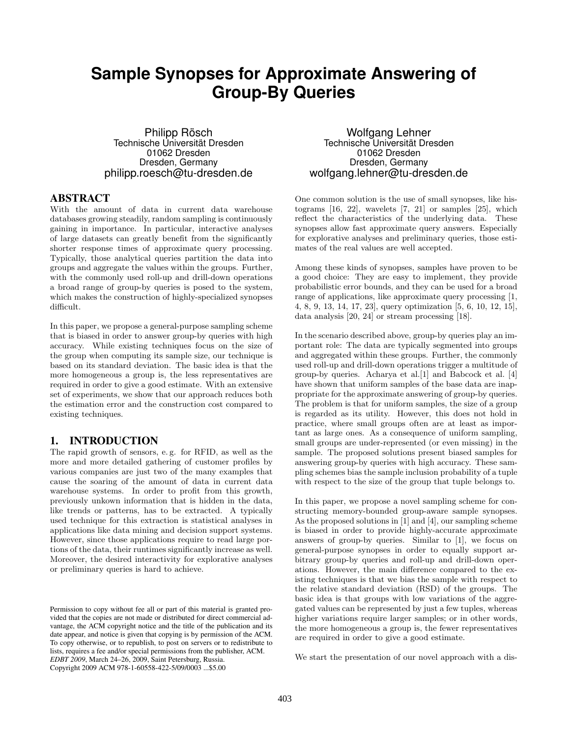# **Sample Synopses for Approximate Answering of Group-By Queries**

Philipp Rösch Technische Universität Dresden 01062 Dresden Dresden, Germany philipp.roesch@tu-dresden.de

#### ABSTRACT

With the amount of data in current data warehouse databases growing steadily, random sampling is continuously gaining in importance. In particular, interactive analyses of large datasets can greatly benefit from the significantly shorter response times of approximate query processing. Typically, those analytical queries partition the data into groups and aggregate the values within the groups. Further, with the commonly used roll-up and drill-down operations a broad range of group-by queries is posed to the system, which makes the construction of highly-specialized synopses difficult.

In this paper, we propose a general-purpose sampling scheme that is biased in order to answer group-by queries with high accuracy. While existing techniques focus on the size of the group when computing its sample size, our technique is based on its standard deviation. The basic idea is that the more homogeneous a group is, the less representatives are required in order to give a good estimate. With an extensive set of experiments, we show that our approach reduces both the estimation error and the construction cost compared to existing techniques.

# 1. INTRODUCTION

The rapid growth of sensors, e. g. for RFID, as well as the more and more detailed gathering of customer profiles by various companies are just two of the many examples that cause the soaring of the amount of data in current data warehouse systems. In order to profit from this growth, previously unkown information that is hidden in the data, like trends or patterns, has to be extracted. A typically used technique for this extraction is statistical analyses in applications like data mining and decision support systems. However, since those applications require to read large portions of the data, their runtimes significantly increase as well. Moreover, the desired interactivity for explorative analyses or preliminary queries is hard to achieve.

Wolfgang Lehner Technische Universität Dresden 01062 Dresden Dresden, Germany wolfgang.lehner@tu-dresden.de

One common solution is the use of small synopses, like histograms [16, 22], wavelets [7, 21] or samples [25], which reflect the characteristics of the underlying data. These synopses allow fast approximate query answers. Especially for explorative analyses and preliminary queries, those estimates of the real values are well accepted.

Among these kinds of synopses, samples have proven to be a good choice: They are easy to implement, they provide probabilistic error bounds, and they can be used for a broad range of applications, like approximate query processing [1, 4, 8, 9, 13, 14, 17, 23], query optimization [5, 6, 10, 12, 15], data analysis [20, 24] or stream processing [18].

In the scenario described above, group-by queries play an important role: The data are typically segmented into groups and aggregated within these groups. Further, the commonly used roll-up and drill-down operations trigger a multitude of group-by queries. Acharya et al.[1] and Babcock et al. [4] have shown that uniform samples of the base data are inappropriate for the approximate answering of group-by queries. The problem is that for uniform samples, the size of a group is regarded as its utility. However, this does not hold in practice, where small groups often are at least as important as large ones. As a consequence of uniform sampling, small groups are under-represented (or even missing) in the sample. The proposed solutions present biased samples for answering group-by queries with high accuracy. These sampling schemes bias the sample inclusion probability of a tuple with respect to the size of the group that tuple belongs to.

In this paper, we propose a novel sampling scheme for constructing memory-bounded group-aware sample synopses. As the proposed solutions in [1] and [4], our sampling scheme is biased in order to provide highly-accurate approximate answers of group-by queries. Similar to [1], we focus on general-purpose synopses in order to equally support arbitrary group-by queries and roll-up and drill-down operations. However, the main difference compared to the existing techniques is that we bias the sample with respect to the relative standard deviation (RSD) of the groups. The basic idea is that groups with low variations of the aggregated values can be represented by just a few tuples, whereas higher variations require larger samples; or in other words, the more homogeneous a group is, the fewer representatives are required in order to give a good estimate.

We start the presentation of our novel approach with a dis-

Permission to copy without fee all or part of this material is granted provided that the copies are not made or distributed for direct commercial advantage, the ACM copyright notice and the title of the publication and its date appear, and notice is given that copying is by permission of the ACM. To copy otherwise, or to republish, to post on servers or to redistribute to lists, requires a fee and/or special permissions from the publisher, ACM. *EDBT 2009*, March 24–26, 2009, Saint Petersburg, Russia. Copyright 2009 ACM 978-1-60558-422-5/09/0003 ...\$5.00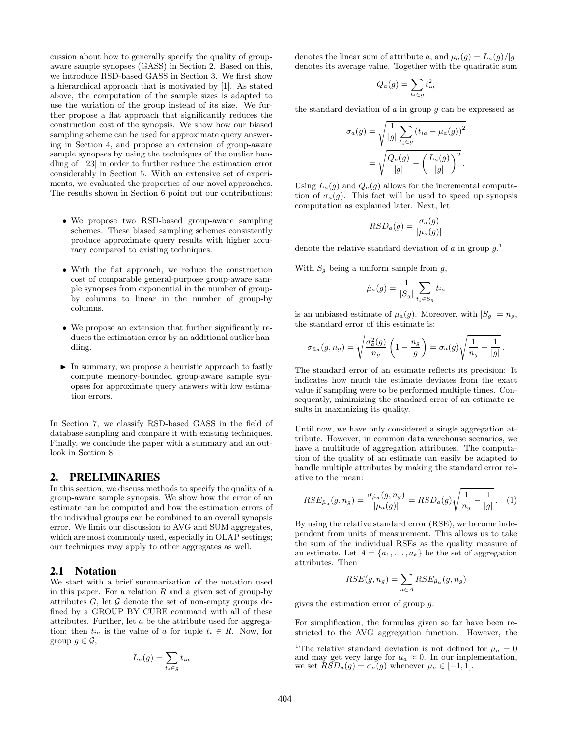cussion about how to generally specify the quality of groupaware sample synopses (GASS) in Section 2. Based on this, we introduce RSD-based GASS in Section 3. We first show a hierarchical approach that is motivated by [1]. As stated above, the computation of the sample sizes is adapted to use the variation of the group instead of its size. We further propose a flat approach that significantly reduces the construction cost of the synopsis. We show how our biased sampling scheme can be used for approximate query answering in Section 4, and propose an extension of group-aware sample synopses by using the techniques of the outlier handling of [23] in order to further reduce the estimation error considerably in Section 5. With an extensive set of experiments, we evaluated the properties of our novel approaches. The results shown in Section 6 point out our contributions:

- We propose two RSD-based group-aware sampling schemes. These biased sampling schemes consistently produce approximate query results with higher accuracy compared to existing techniques.
- With the flat approach, we reduce the construction cost of comparable general-purpose group-aware sample synopses from exponential in the number of groupby columns to linear in the number of group-by columns.
- We propose an extension that further significantly reduces the estimation error by an additional outlier handling.
- $\blacktriangleright$  In summary, we propose a heuristic approach to fastly compute memory-bounded group-aware sample synopses for approximate query answers with low estimation errors.

In Section 7, we classify RSD-based GASS in the field of database sampling and compare it with existing techniques. Finally, we conclude the paper with a summary and an outlook in Section 8.

#### 2. PRELIMINARIES

In this section, we discuss methods to specify the quality of a group-aware sample synopsis. We show how the error of an estimate can be computed and how the estimation errors of the individual groups can be combined to an overall synopsis error. We limit our discussion to AVG and SUM aggregates, which are most commonly used, especially in OLAP settings; our techniques may apply to other aggregates as well.

# 2.1 Notation

We start with a brief summarization of the notation used in this paper. For a relation  $R$  and a given set of group-by attributes  $G$ , let  $G$  denote the set of non-empty groups defined by a GROUP BY CUBE command with all of these attributes. Further, let a be the attribute used for aggregation; then  $t_{ia}$  is the value of a for tuple  $t_i \in R$ . Now, for group  $g \in \mathcal{G}$ ,

$$
L_a(g) = \sum_{t_i \in g} t_{ia}
$$

denotes the linear sum of attribute a, and  $\mu_a(g) = L_a(g)/|g|$ denotes its average value. Together with the quadratic sum

$$
Q_a(g) = \sum_{t_i \in g} t_{ia}^2
$$

the standard deviation of  $\alpha$  in group  $q$  can be expressed as

$$
\sigma_a(g) = \sqrt{\frac{1}{|g|} \sum_{t_i \in g} (t_{ia} - \mu_a(g))^2}
$$

$$
= \sqrt{\frac{Q_a(g)}{|g|} - \left(\frac{L_a(g)}{|g|}\right)^2}.
$$

Using  $L_a(g)$  and  $Q_a(g)$  allows for the incremental computation of  $\sigma_a(g)$ . This fact will be used to speed up synopsis computation as explained later. Next, let

$$
RSD_a(g) = \frac{\sigma_a(g)}{|\mu_a(g)|}
$$

denote the relative standard deviation of a in group  $g<sup>1</sup>$ 

With  $S_q$  being a uniform sample from  $q$ ,

$$
\hat{\mu}_a(g) = \frac{1}{|S_g|} \sum_{t_i \in S_g} t_{ia}
$$

is an unbiased estimate of  $\mu_a(g)$ . Moreover, with  $|S_g| = n_g$ , the standard error of this estimate is:

$$
\sigma_{\hat{\mu}_a}(g, n_g) = \sqrt{\frac{\sigma_a^2(g)}{n_g} \left(1 - \frac{n_g}{|g|}\right)} = \sigma_a(g) \sqrt{\frac{1}{n_g} - \frac{1}{|g|}}.
$$

The standard error of an estimate reflects its precision: It indicates how much the estimate deviates from the exact value if sampling were to be performed multiple times. Consequently, minimizing the standard error of an estimate results in maximizing its quality.

Until now, we have only considered a single aggregation attribute. However, in common data warehouse scenarios, we have a multitude of aggregation attributes. The computation of the quality of an estimate can easily be adapted to handle multiple attributes by making the standard error relative to the mean:

$$
RSE_{\hat{\mu}_a}(g, n_g) = \frac{\sigma_{\hat{\mu}_a}(g, n_g)}{|\mu_a(g)|} = RSD_a(g)\sqrt{\frac{1}{n_g} - \frac{1}{|g|}}.
$$
 (1)

By using the relative standard error (RSE), we become independent from units of measurement. This allows us to take the sum of the individual RSEs as the quality measure of an estimate. Let  $A = \{a_1, \ldots, a_k\}$  be the set of aggregation attributes. Then

$$
RSE(g, n_g) = \sum_{a \in A} RSE_{\hat{\mu}_a}(g, n_g)
$$

gives the estimation error of group g.

For simplification, the formulas given so far have been restricted to the AVG aggregation function. However, the

<sup>&</sup>lt;sup>1</sup>The relative standard deviation is not defined for  $\mu_a = 0$ and may get very large for  $\mu_a \approx 0$ . In our implementation, we set  $\overline{RSD}_a(g) = \sigma_a(g)$  whenever  $\mu_a \in [-1, 1].$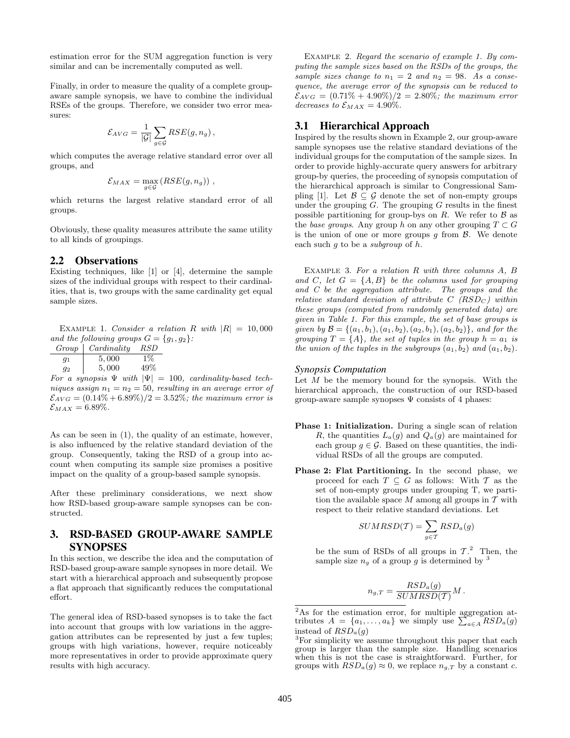estimation error for the SUM aggregation function is very similar and can be incrementally computed as well.

Finally, in order to measure the quality of a complete groupaware sample synopsis, we have to combine the individual RSEs of the groups. Therefore, we consider two error measures:

$$
\mathcal{E}_{AVG} = \frac{1}{|\mathcal{G}|} \sum_{g \in \mathcal{G}} RSE(g, n_g),
$$

which computes the average relative standard error over all groups, and

$$
\mathcal{E}_{MAX} = \max_{g \in \mathcal{G}} (RSE(g, n_g)),
$$

which returns the largest relative standard error of all groups.

Obviously, these quality measures attribute the same utility to all kinds of groupings.

#### 2.2 Observations

Existing techniques, like [1] or [4], determine the sample sizes of the individual groups with respect to their cardinalities, that is, two groups with the same cardinality get equal sample sizes.

EXAMPLE 1. Consider a relation R with  $|R| = 10,000$ and the following groups  $G = \{g_1, g_2\}$ :  $Cardinality$  RSD

| Group | Cardinality | KS L  |
|-------|-------------|-------|
| $q_1$ | 5,000       | $1\%$ |
| $q_2$ | 5,000       | 49%   |

For a synopsis  $\Psi$  with  $|\Psi| = 100$ , cardinality-based techniques assign  $n_1 = n_2 = 50$ , resulting in an average error of  $\mathcal{E}_{AVG} = (0.14\% + 6.89\%)/2 = 3.52\%$ ; the maximum error is  $\mathcal{E}_{MAX} = 6.89\%.$ 

As can be seen in (1), the quality of an estimate, however, is also influenced by the relative standard deviation of the group. Consequently, taking the RSD of a group into account when computing its sample size promises a positive impact on the quality of a group-based sample synopsis.

After these preliminary considerations, we next show how RSD-based group-aware sample synopses can be constructed.

# 3. RSD-BASED GROUP-AWARE SAMPLE **SYNOPSES**

In this section, we describe the idea and the computation of RSD-based group-aware sample synopses in more detail. We start with a hierarchical approach and subsequently propose a flat approach that significantly reduces the computational effort.

The general idea of RSD-based synopses is to take the fact into account that groups with low variations in the aggregation attributes can be represented by just a few tuples; groups with high variations, however, require noticeably more representatives in order to provide approximate query results with high accuracy.

EXAMPLE 2. Regard the scenario of example 1. By computing the sample sizes based on the RSDs of the groups, the sample sizes change to  $n_1 = 2$  and  $n_2 = 98$ . As a consequence, the average error of the synopsis can be reduced to  $\mathcal{E}_{AVG} = (0.71\% + 4.90\%)/2 = 2.80\%$ ; the maximum error decreases to  $\mathcal{E}_{MAX} = 4.90\%.$ 

#### 3.1 Hierarchical Approach

Inspired by the results shown in Example 2, our group-aware sample synopses use the relative standard deviations of the individual groups for the computation of the sample sizes. In order to provide highly-accurate query answers for arbitrary group-by queries, the proceeding of synopsis computation of the hierarchical approach is similar to Congressional Sampling [1]. Let  $\mathcal{B} \subset \mathcal{G}$  denote the set of non-empty groups under the grouping  $G$ . The grouping  $G$  results in the finest possible partitioning for group-bys on  $R$ . We refer to  $\beta$  as the base groups. Any group h on any other grouping  $T \subset G$ is the union of one or more groups  $g$  from  $\beta$ . We denote each such  $g$  to be a *subgroup* of  $h$ .

EXAMPLE 3. For a relation  $R$  with three columns  $A, B$ and C, let  $G = \{A, B\}$  be the columns used for grouping and C be the aggregation attribute. The groups and the relative standard deviation of attribute  $C$  (RSD<sub>C</sub>) within these groups (computed from randomly generated data) are given in Table 1. For this example, the set of base groups is given by  $\mathcal{B} = \{(a_1, b_1), (a_1, b_2), (a_2, b_1), (a_2, b_2)\}$ , and for the grouping  $T = \{A\}$ , the set of tuples in the group  $h = a_1$  is the union of the tuples in the subgroups  $(a_1, b_2)$  and  $(a_1, b_2)$ .

#### *Synopsis Computation*

Let  $M$  be the memory bound for the synopsis. With the hierarchical approach, the construction of our RSD-based group-aware sample synopses  $\Psi$  consists of 4 phases:

- Phase 1: Initialization. During a single scan of relation R, the quantities  $L_a(g)$  and  $Q_a(g)$  are maintained for each group  $q \in \mathcal{G}$ . Based on these quantities, the individual RSDs of all the groups are computed.
- Phase 2: Flat Partitioning. In the second phase, we proceed for each  $T \subseteq G$  as follows: With  $T$  as the set of non-empty groups under grouping T, we partition the available space M among all groups in  $T$  with respect to their relative standard deviations. Let

$$
SUMRSD(\mathcal{T}) = \sum_{g \in \mathcal{T}} RSD_a(g)
$$

be the sum of RSDs of all groups in  $\mathcal{T}^2$ . Then, the sample size  $n_g$  of a group g is determined by <sup>3</sup>

$$
n_{g,T} = \frac{RSD_a(g)}{SUMRSD(T)}M.
$$

<sup>&</sup>lt;sup>2</sup>As for the estimation error, for multiple aggregation attributes  $A = \{a_1, \ldots, a_k\}$  we simply use  $\sum_{a \in A} RSD_a(g)$ instead of  $RSD<sub>a</sub>(g)$ 

<sup>&</sup>lt;sup>3</sup>For simplicity we assume throughout this paper that each group is larger than the sample size. Handling scenarios when this is not the case is straightforward. Further, for groups with  $RSD_a(g) \approx 0$ , we replace  $n_{g,T}$  by a constant c.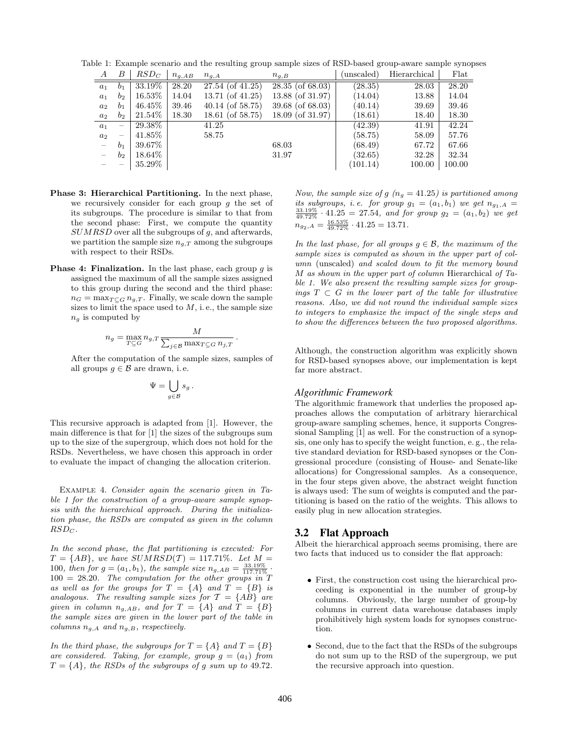Table 1: Example scenario and the resulting group sample sizes of RSD-based group-aware sample synopses

| А              | B              | $RSD_C$   | $n_{q,AB}$ | $n_{q,A}$             | $n_{q,B}$             | (unscaled) | Hierarchical | Flat   |
|----------------|----------------|-----------|------------|-----------------------|-----------------------|------------|--------------|--------|
| a <sub>1</sub> | b <sub>1</sub> | 33.19%    | 28.20      | $27.54$ (of $41.25$ ) | $28.35$ (of 68.03)    | (28.35)    | 28.03        | 28.20  |
| $a_1$          | $b_2$          | $16.53\%$ | 14.04      | $13.71$ (of $41.25$ ) | $13.88$ (of $31.97$ ) | (14.04)    | 13.88        | 14.04  |
| $a_2$          | b <sub>1</sub> | 46.45\%   | 39.46      | $40.14$ (of 58.75)    | $39.68$ (of 68.03)    | (40.14)    | 39.69        | 39.46  |
| $a_2$          | b <sub>2</sub> | $21.54\%$ | 18.30      | $18.61$ (of 58.75)    | $18.09$ (of $31.97$ ) | (18.61)    | 18.40        | 18.30  |
| $a_1$          |                | 29.38%    |            | 41.25                 |                       | (42.39)    | 41.91        | 42.24  |
| a <sub>2</sub> |                | 41.85%    |            | 58.75                 |                       | (58.75)    | 58.09        | 57.76  |
|                | b <sub>1</sub> | 39.67%    |            |                       | 68.03                 | (68.49)    | 67.72        | 67.66  |
|                | b <sub>2</sub> | $18.64\%$ |            |                       | 31.97                 | (32.65)    | 32.28        | 32.34  |
|                |                | 35.29%    |            |                       |                       | (101.14)   | 100.00       | 100.00 |

- Phase 3: Hierarchical Partitioning. In the next phase, we recursively consider for each group  $g$  the set of its subgroups. The procedure is similar to that from the second phase: First, we compute the quantity  $SUMRSD$  over all the subgroups of  $g$ , and afterwards, we partition the sample size  $n_{g,T}$  among the subgroups with respect to their RSDs.
- **Phase 4: Finalization.** In the last phase, each group  $q$  is assigned the maximum of all the sample sizes assigned to this group during the second and the third phase:  $n_G = \max_{T \subseteq G} n_{q,T}$ . Finally, we scale down the sample sizes to limit the space used to  $M$ , i.e., the sample size  $n_q$  is computed by

$$
n_g = \max_{T \subseteq G} n_{g,T} \frac{M}{\sum_{j \in \mathcal{B}} \max_{T \subseteq G} n_{j,T}}
$$

.

After the computation of the sample sizes, samples of all groups  $g \in \mathcal{B}$  are drawn, i.e.

$$
\Psi = \bigcup_{g \in \mathcal{B}} s_g.
$$

This recursive approach is adapted from [1]. However, the main difference is that for [1] the sizes of the subgroups sum up to the size of the supergroup, which does not hold for the RSDs. Nevertheless, we have chosen this approach in order to evaluate the impact of changing the allocation criterion.

EXAMPLE 4. Consider again the scenario given in Table 1 for the construction of a group-aware sample synopsis with the hierarchical approach. During the initialization phase, the RSDs are computed as given in the column  $RSD_C$ .

In the second phase, the flat partitioning is executed: For  $T = \{AB\}$ , we have  $SUMRSD(\mathcal{T}) = 117.71\%$ . Let  $M =$ 100, then for  $g = (a_1, b_1)$ , the sample size  $n_{g, AB} = \frac{33.19\%}{117.71\%}$ .  $100 = 28.20$ . The computation for the other groups in T as well as for the groups for  $T = \{A\}$  and  $T = \{B\}$  is analogous. The resulting sample sizes for  $\mathcal{T} = \{AB\}$  are given in column  $n_{a,AB}$ , and for  $T = \{A\}$  and  $T = \{B\}$ the sample sizes are given in the lower part of the table in columns  $n_{g,A}$  and  $n_{g,B}$ , respectively.

In the third phase, the subgroups for  $T = \{A\}$  and  $T = \{B\}$ are considered. Taking, for example, group  $g = (a_1)$  from  $T = \{A\}$ , the RSDs of the subgroups of g sum up to 49.72.

Now, the sample size of g  $(n_g = 41.25)$  is partitioned among its subgroups, i.e. for group  $g_1 = (a_1, b_1)$  we get  $n_{g_1,A} =$  $\frac{33.19\%}{49.72\%} \cdot 41.25 = 27.54$ , and for group  $g_2 = (a_1, b_2)$  we get  $n_{g_2,A} = \frac{16.53\%}{49.72\%} \cdot 41.25 = 13.71.$ 

In the last phase, for all groups  $g \in \mathcal{B}$ , the maximum of the sample sizes is computed as shown in the upper part of column (unscaled) and scaled down to fit the memory bound M as shown in the upper part of column Hierarchical of Table 1. We also present the resulting sample sizes for groupings  $T \subset G$  in the lower part of the table for illustrative reasons. Also, we did not round the individual sample sizes to integers to emphasize the impact of the single steps and to show the differences between the two proposed algorithms.

Although, the construction algorithm was explicitly shown for RSD-based synopses above, our implementation is kept far more abstract.

#### *Algorithmic Framework*

The algorithmic framework that underlies the proposed approaches allows the computation of arbitrary hierarchical group-aware sampling schemes, hence, it supports Congressional Sampling [1] as well. For the construction of a synopsis, one only has to specify the weight function, e. g., the relative standard deviation for RSD-based synopses or the Congressional procedure (consisting of House- and Senate-like allocations) for Congressional samples. As a consequence, in the four steps given above, the abstract weight function is always used: The sum of weights is computed and the partitioning is based on the ratio of the weights. This allows to easily plug in new allocation strategies.

#### 3.2 Flat Approach

Albeit the hierarchical approach seems promising, there are two facts that induced us to consider the flat approach:

- First, the construction cost using the hierarchical proceeding is exponential in the number of group-by columns. Obviously, the large number of group-by columns in current data warehouse databases imply prohibitively high system loads for synopses construction.
- Second, due to the fact that the RSDs of the subgroups do not sum up to the RSD of the supergroup, we put the recursive approach into question.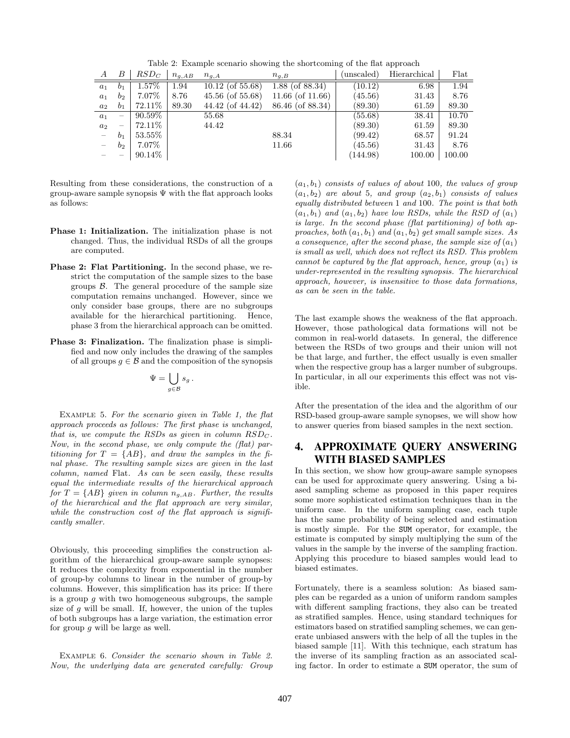| Table 2: Example scenario showing the shortcoming of the flat approach |  |  |
|------------------------------------------------------------------------|--|--|
|                                                                        |  |  |

| A              | В                        | $RSD_C$   | $n_{q,AB}$ | $n_{q,A}$             | $n_{q,B}$           | (unscaled) | Hierarchical | Flat   |
|----------------|--------------------------|-----------|------------|-----------------------|---------------------|------------|--------------|--------|
| a <sub>1</sub> | b <sub>1</sub>           | 1.57%     | 1.94       | $10.12$ (of 55.68)    | $1.88$ (of 88.34)   | (10.12)    | 6.98         | 1.94   |
| $a_1$          | $b_2$                    | 7.07%     | 8.76       | $45.56$ (of $55.68$ ) | 11.66 (of $11.66$ ) | (45.56)    | 31.43        | 8.76   |
| $a_2$          | b <sub>1</sub>           | 72.11\%   | 89.30      | 44.42 (of 44.42)      | 86.46 (of 88.34)    | (89.30)    | 61.59        | 89.30  |
| $a_1$          | $\overline{\phantom{0}}$ | $90.59\%$ |            | 55.68                 |                     | (55.68)    | 38.41        | 10.70  |
| a <sub>2</sub> |                          | 72.11\%   |            | 44.42                 |                     | (89.30)    | 61.59        | 89.30  |
|                | b <sub>1</sub>           | $53.55\%$ |            |                       | 88.34               | (99.42)    | 68.57        | 91.24  |
|                | b <sub>2</sub>           | 7.07\%    |            |                       | 11.66               | (45.56)    | 31.43        | 8.76   |
|                |                          | $90.14\%$ |            |                       |                     | (144.98)   | 100.00       | 100.00 |

Resulting from these considerations, the construction of a group-aware sample synopsis  $\Psi$  with the flat approach looks as follows:

- Phase 1: Initialization. The initialization phase is not changed. Thus, the individual RSDs of all the groups are computed.
- Phase 2: Flat Partitioning. In the second phase, we restrict the computation of the sample sizes to the base groups  $\beta$ . The general procedure of the sample size computation remains unchanged. However, since we only consider base groups, there are no subgroups available for the hierarchical partitioning. Hence, phase 3 from the hierarchical approach can be omitted.
- Phase 3: Finalization. The finalization phase is simplified and now only includes the drawing of the samples of all groups  $q \in \mathcal{B}$  and the composition of the synopsis

$$
\Psi = \bigcup_{g \in \mathcal{B}} s_g.
$$

Example 5. For the scenario given in Table 1, the flat approach proceeds as follows: The first phase is unchanged, that is, we compute the RSDs as given in column  $RSD<sub>C</sub>$ . Now, in the second phase, we only compute the (flat) partitioning for  $T = \{AB\}$ , and draw the samples in the final phase. The resulting sample sizes are given in the last column, named Flat. As can be seen easily, these results equal the intermediate results of the hierarchical approach for  $T = \{AB\}$  given in column  $n_{g,AB}$ . Further, the results of the hierarchical and the flat approach are very similar, while the construction cost of the flat approach is significantly smaller.

Obviously, this proceeding simplifies the construction algorithm of the hierarchical group-aware sample synopses: It reduces the complexity from exponential in the number of group-by columns to linear in the number of group-by columns. However, this simplification has its price: If there is a group  $g$  with two homogeneous subgroups, the sample size of  $g$  will be small. If, however, the union of the tuples of both subgroups has a large variation, the estimation error for group  $g$  will be large as well.

Example 6. Consider the scenario shown in Table 2. Now, the underlying data are generated carefully: Group  $(a_1, b_1)$  consists of values of about 100, the values of group  $(a_1, b_2)$  are about 5, and group  $(a_2, b_1)$  consists of values equally distributed between 1 and 100. The point is that both  $(a_1, b_1)$  and  $(a_1, b_2)$  have low RSDs, while the RSD of  $(a_1)$ is large. In the second phase (flat partitioning) of both approaches, both  $(a_1, b_1)$  and  $(a_1, b_2)$  get small sample sizes. As a consequence, after the second phase, the sample size of  $(a_1)$ is small as well, which does not reflect its RSD. This problem cannot be captured by the flat approach, hence, group  $(a_1)$  is under-represented in the resulting synopsis. The hierarchical approach, however, is insensitive to those data formations, as can be seen in the table.

The last example shows the weakness of the flat approach. However, those pathological data formations will not be common in real-world datasets. In general, the difference between the RSDs of two groups and their union will not be that large, and further, the effect usually is even smaller when the respective group has a larger number of subgroups. In particular, in all our experiments this effect was not visible.

After the presentation of the idea and the algorithm of our RSD-based group-aware sample synopses, we will show how to answer queries from biased samples in the next section.

# 4. APPROXIMATE QUERY ANSWERING WITH BIASED SAMPLES

In this section, we show how group-aware sample synopses can be used for approximate query answering. Using a biased sampling scheme as proposed in this paper requires some more sophisticated estimation techniques than in the uniform case. In the uniform sampling case, each tuple has the same probability of being selected and estimation is mostly simple. For the SUM operator, for example, the estimate is computed by simply multiplying the sum of the values in the sample by the inverse of the sampling fraction. Applying this procedure to biased samples would lead to biased estimates.

Fortunately, there is a seamless solution: As biased samples can be regarded as a union of uniform random samples with different sampling fractions, they also can be treated as stratified samples. Hence, using standard techniques for estimators based on stratified sampling schemes, we can generate unbiased answers with the help of all the tuples in the biased sample [11]. With this technique, each stratum has the inverse of its sampling fraction as an associated scaling factor. In order to estimate a SUM operator, the sum of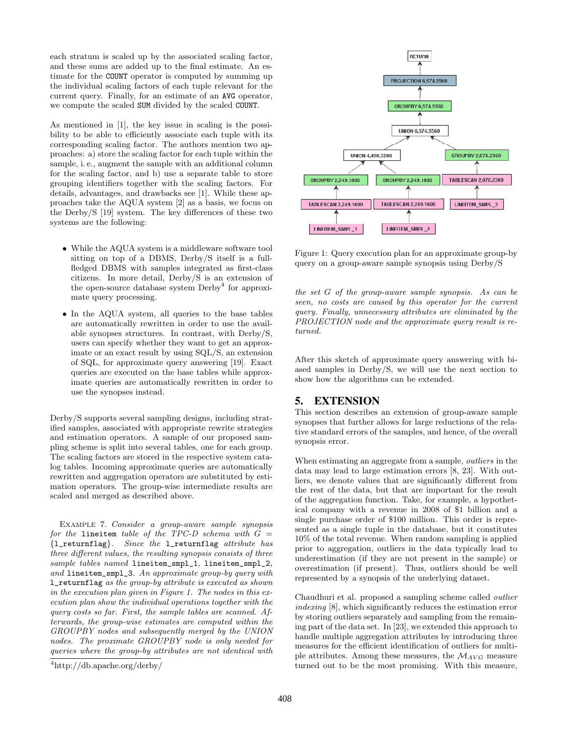each stratum is scaled up by the associated scaling factor, and these sums are added up to the final estimate. An estimate for the COUNT operator is computed by summing up the individual scaling factors of each tuple relevant for the current query. Finally, for an estimate of an AVG operator, we compute the scaled SUM divided by the scaled COUNT.

As mentioned in [1], the key issue in scaling is the possibility to be able to efficiently associate each tuple with its corresponding scaling factor. The authors mention two approaches: a) store the scaling factor for each tuple within the sample, i. e., augment the sample with an additional column for the scaling factor, and b) use a separate table to store grouping identifiers together with the scaling factors. For details, advantages, and drawbacks see [1]. While these approaches take the AQUA system [2] as a basis, we focus on the Derby/S [19] system. The key differences of these two systems are the following:

- While the AQUA system is a middleware software tool sitting on top of a DBMS, Derby/S itself is a fullfledged DBMS with samples integrated as first-class citizens. In more detail, Derby/S is an extension of the open-source database system Derby<sup>4</sup> for approximate query processing.
- In the AQUA system, all queries to the base tables are automatically rewritten in order to use the available synopses structures. In contrast, with Derby/S, users can specify whether they want to get an approximate or an exact result by using SQL/S, an extension of SQL, for approximate query answering [19]. Exact queries are executed on the base tables while approximate queries are automatically rewritten in order to use the synopses instead.

Derby/S supports several sampling designs, including stratified samples, associated with appropriate rewrite strategies and estimation operators. A sample of our proposed sampling scheme is split into several tables, one for each group. The scaling factors are stored in the respective system catalog tables. Incoming approximate queries are automatically rewritten and aggregation operators are substituted by estimation operators. The group-wise intermediate results are scaled and merged as described above.

Example 7. Consider a group-aware sample synopsis for the lineitem table of the TPC-D schema with  $G =$ {l\_returnflag}. Since the l\_returnflag attribute has three different values, the resulting synopsis consists of three sample tables named lineitem\_smpl\_1, lineitem\_smpl\_2, and lineitem\_smpl\_3. An approximate group-by query with l\_returnflag as the group-by attribute is executed as shown in the execution plan given in Figure 1. The nodes in this execution plan show the individual operations together with the query costs so far. First, the sample tables are scanned. Afterwards, the group-wise estimates are computed within the GROUPBY nodes and subsequently merged by the UNION nodes. The proximate GROUPBY node is only needed for queries where the group-by attributes are not identical with



Figure 1: Query execution plan for an approximate group-by query on a group-aware sample synopsis using Derby/S

the set G of the group-aware sample synopsis. As can be seen, no costs are caused by this operator for the current query. Finally, unnecessary attributes are eliminated by the PROJECTION node and the approximate query result is returned.

After this sketch of approximate query answering with biased samples in Derby/S, we will use the next section to show how the algorithms can be extended.

## 5. EXTENSION

This section describes an extension of group-aware sample synopses that further allows for large reductions of the relative standard errors of the samples, and hence, of the overall synopsis error.

When estimating an aggregate from a sample, outliers in the data may lead to large estimation errors [8, 23]. With outliers, we denote values that are significantly different from the rest of the data, but that are important for the result of the aggregation function. Take, for example, a hypothetical company with a revenue in 2008 of \$1 billion and a single purchase order of \$100 million. This order is represented as a single tuple in the database, but it constitutes 10% of the total revenue. When random sampling is applied prior to aggregation, outliers in the data typically lead to underestimation (if they are not present in the sample) or overestimation (if present). Thus, outliers should be well represented by a synopsis of the underlying dataset.

Chaudhuri et al. proposed a sampling scheme called outlier indexing [8], which significantly reduces the estimation error by storing outliers separately and sampling from the remaining part of the data set. In [23], we extended this approach to handle multiple aggregation attributes by introducing three measures for the efficient identification of outliers for multiple attributes. Among these measures, the  $\mathcal{M}_{AVG}$  measure turned out to be the most promising. With this measure,

<sup>4</sup>http://db.apache.org/derby/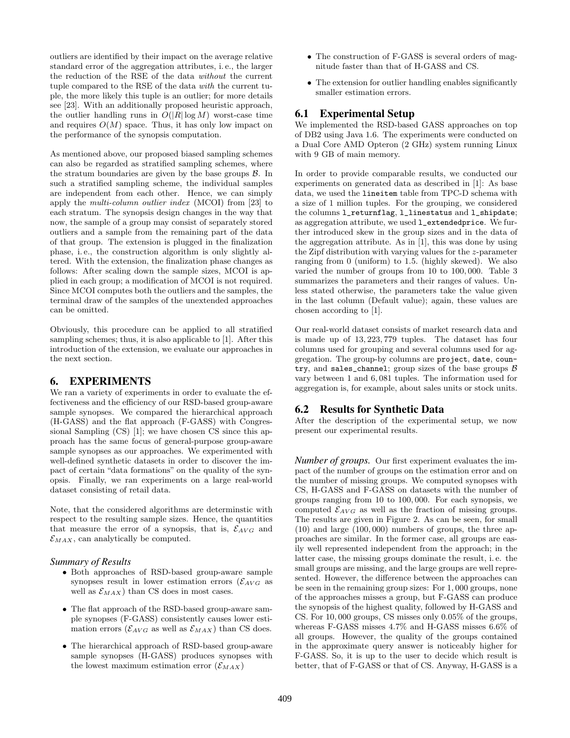outliers are identified by their impact on the average relative standard error of the aggregation attributes, i. e., the larger the reduction of the RSE of the data without the current tuple compared to the RSE of the data with the current tuple, the more likely this tuple is an outlier; for more details see [23]. With an additionally proposed heuristic approach, the outlier handling runs in  $O(|R| \log M)$  worst-case time and requires  $O(M)$  space. Thus, it has only low impact on the performance of the synopsis computation.

As mentioned above, our proposed biased sampling schemes can also be regarded as stratified sampling schemes, where the stratum boundaries are given by the base groups  $\beta$ . In such a stratified sampling scheme, the individual samples are independent from each other. Hence, we can simply apply the multi-column outlier index (MCOI) from [23] to each stratum. The synopsis design changes in the way that now, the sample of a group may consist of separately stored outliers and a sample from the remaining part of the data of that group. The extension is plugged in the finalization phase, i. e., the construction algorithm is only slightly altered. With the extension, the finalization phase changes as follows: After scaling down the sample sizes, MCOI is applied in each group; a modification of MCOI is not required. Since MCOI computes both the outliers and the samples, the terminal draw of the samples of the unextended approaches can be omitted.

Obviously, this procedure can be applied to all stratified sampling schemes; thus, it is also applicable to [1]. After this introduction of the extension, we evaluate our approaches in the next section.

# 6. EXPERIMENTS

We ran a variety of experiments in order to evaluate the effectiveness and the efficiency of our RSD-based group-aware sample synopses. We compared the hierarchical approach (H-GASS) and the flat approach (F-GASS) with Congressional Sampling (CS) [1]; we have chosen CS since this approach has the same focus of general-purpose group-aware sample synopses as our approaches. We experimented with well-defined synthetic datasets in order to discover the impact of certain "data formations" on the quality of the synopsis. Finally, we ran experiments on a large real-world dataset consisting of retail data.

Note, that the considered algorithms are determinstic with respect to the resulting sample sizes. Hence, the quantities that measure the error of a synopsis, that is,  $\mathcal{E}_{AVG}$  and  $\mathcal{E}_{MAX}$ , can analytically be computed.

#### *Summary of Results*

- Both approaches of RSD-based group-aware sample synopses result in lower estimation errors ( $\mathcal{E}_{AVG}$  as well as  $\mathcal{E}_{MAX}$ ) than CS does in most cases.
- The flat approach of the RSD-based group-aware sample synopses (F-GASS) consistently causes lower estimation errors ( $\mathcal{E}_{AVG}$  as well as  $\mathcal{E}_{MAX}$ ) than CS does.
- The hierarchical approach of RSD-based group-aware sample synopses (H-GASS) produces synopses with the lowest maximum estimation error  $(\mathcal{E}_{MAX})$
- The construction of F-GASS is several orders of magnitude faster than that of H-GASS and CS.
- The extension for outlier handling enables significantly smaller estimation errors.

# 6.1 Experimental Setup

We implemented the RSD-based GASS approaches on top of DB2 using Java 1.6. The experiments were conducted on a Dual Core AMD Opteron (2 GHz) system running Linux with 9 GB of main memory.

In order to provide comparable results, we conducted our experiments on generated data as described in [1]: As base data, we used the lineitem table from TPC-D schema with a size of 1 million tuples. For the grouping, we considered the columns l\_returnflag, l\_linestatus and l\_shipdate; as aggregation attribute, we used l\_extendedprice. We further introduced skew in the group sizes and in the data of the aggregation attribute. As in [1], this was done by using the Zipf distribution with varying values for the z-parameter ranging from 0 (uniform) to 1.5. (highly skewed). We also varied the number of groups from 10 to 100, 000. Table 3 summarizes the parameters and their ranges of values. Unless stated otherwise, the parameters take the value given in the last column (Default value); again, these values are chosen according to [1].

Our real-world dataset consists of market research data and is made up of 13, 223, 779 tuples. The dataset has four columns used for grouping and several columns used for aggregation. The group-by columns are project, date, country, and sales\_channel; group sizes of the base groups  $\beta$ vary between 1 and 6, 081 tuples. The information used for aggregation is, for example, about sales units or stock units.

### 6.2 Results for Synthetic Data

After the description of the experimental setup, we now present our experimental results.

*Number of groups.* Our first experiment evaluates the impact of the number of groups on the estimation error and on the number of missing groups. We computed synopses with CS, H-GASS and F-GASS on datasets with the number of groups ranging from 10 to 100, 000. For each synopsis, we computed  $\mathcal{E}_{AVG}$  as well as the fraction of missing groups. The results are given in Figure 2. As can be seen, for small  $(10)$  and large  $(100, 000)$  numbers of groups, the three approaches are similar. In the former case, all groups are easily well represented independent from the approach; in the latter case, the missing groups dominate the result, i. e. the small groups are missing, and the large groups are well represented. However, the difference between the approaches can be seen in the remaining group sizes: For 1, 000 groups, none of the approaches misses a group, but F-GASS can produce the synopsis of the highest quality, followed by H-GASS and CS. For 10, 000 groups, CS misses only 0.05% of the groups, whereas F-GASS misses 4.7% and H-GASS misses 6.6% of all groups. However, the quality of the groups contained in the approximate query answer is noticeably higher for F-GASS. So, it is up to the user to decide which result is better, that of F-GASS or that of CS. Anyway, H-GASS is a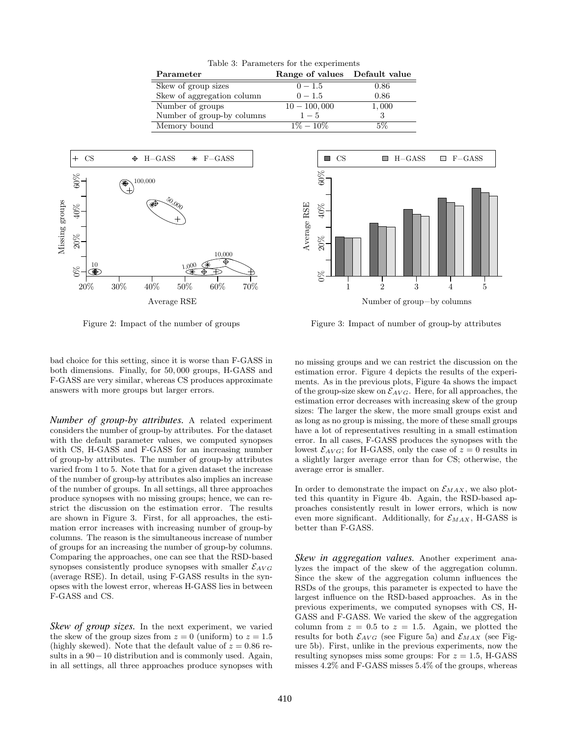| Table 3: Parameters for the experiments |                               |       |  |  |
|-----------------------------------------|-------------------------------|-------|--|--|
| Parameter                               | Range of values Default value |       |  |  |
| Skew of group sizes                     | $0 - 1.5$                     | 0.86  |  |  |
| Skew of aggregation column              | $0 - 1.5$                     | 0.86  |  |  |
| Number of groups                        | $10 - 100,000$                | 1,000 |  |  |
| Number of group-by columns              | $1 - 5$                       | 3     |  |  |
| Memory bound                            | $1\% - 10\%$                  | 5%    |  |  |



Figure 2: Impact of the number of groups



Figure 3: Impact of number of group-by attributes

bad choice for this setting, since it is worse than F-GASS in both dimensions. Finally, for 50, 000 groups, H-GASS and F-GASS are very similar, whereas CS produces approximate answers with more groups but larger errors.

*Number of group-by attributes.* A related experiment considers the number of group-by attributes. For the dataset with the default parameter values, we computed synopses with CS, H-GASS and F-GASS for an increasing number of group-by attributes. The number of group-by attributes varied from 1 to 5. Note that for a given dataset the increase of the number of group-by attributes also implies an increase of the number of groups. In all settings, all three approaches produce synopses with no missing groups; hence, we can restrict the discussion on the estimation error. The results are shown in Figure 3. First, for all approaches, the estimation error increases with increasing number of group-by columns. The reason is the simultaneous increase of number of groups for an increasing the number of group-by columns. Comparing the approaches, one can see that the RSD-based synopses consistently produce synopses with smaller  $\mathcal{E}_{AVG}$ (average RSE). In detail, using F-GASS results in the synopses with the lowest error, whereas H-GASS lies in between F-GASS and CS.

*Skew of group sizes.* In the next experiment, we varied the skew of the group sizes from  $z = 0$  (uniform) to  $z = 1.5$ (highly skewed). Note that the default value of  $z = 0.86$  results in a  $90-10$  distribution and is commonly used. Again, in all settings, all three approaches produce synopses with no missing groups and we can restrict the discussion on the estimation error. Figure 4 depicts the results of the experiments. As in the previous plots, Figure 4a shows the impact of the group-size skew on  $\mathcal{E}_{AVG}$ . Here, for all approaches, the estimation error decreases with increasing skew of the group sizes: The larger the skew, the more small groups exist and as long as no group is missing, the more of these small groups have a lot of representatives resulting in a small estimation error. In all cases, F-GASS produces the synopses with the lowest  $\mathcal{E}_{AVG}$ ; for H-GASS, only the case of  $z = 0$  results in a slightly larger average error than for CS; otherwise, the average error is smaller.

In order to demonstrate the impact on  $\mathcal{E}_{MAX}$ , we also plotted this quantity in Figure 4b. Again, the RSD-based approaches consistently result in lower errors, which is now even more significant. Additionally, for  $\mathcal{E}_{MAX}$ , H-GASS is better than F-GASS.

*Skew in aggregation values.* Another experiment analyzes the impact of the skew of the aggregation column. Since the skew of the aggregation column influences the RSDs of the groups, this parameter is expected to have the largest influence on the RSD-based approaches. As in the previous experiments, we computed synopses with CS, H-GASS and F-GASS. We varied the skew of the aggregation column from  $z = 0.5$  to  $z = 1.5$ . Again, we plotted the results for both  $\mathcal{E}_{AVG}$  (see Figure 5a) and  $\mathcal{E}_{MAX}$  (see Figure 5b). First, unlike in the previous experiments, now the resulting synopses miss some groups: For  $z = 1.5$ , H-GASS misses 4.2% and F-GASS misses 5.4% of the groups, whereas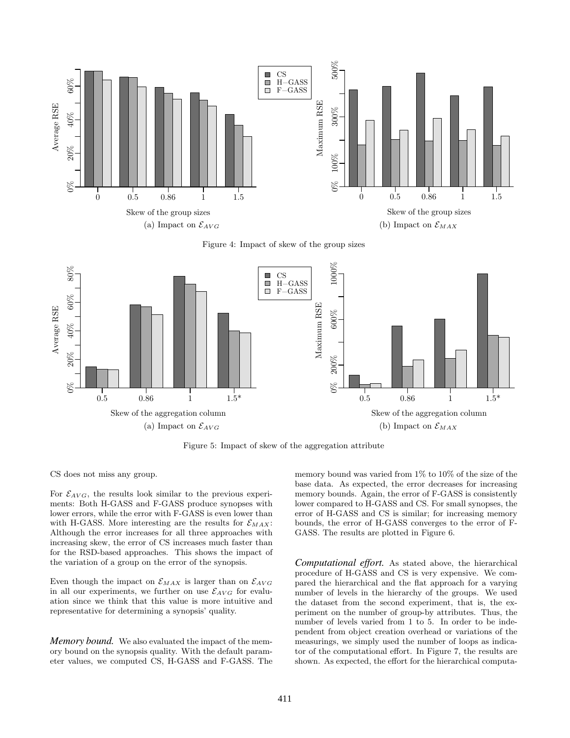

Figure 4: Impact of skew of the group sizes



Figure 5: Impact of skew of the aggregation attribute

CS does not miss any group.

For  $\mathcal{E}_{AVG}$ , the results look similar to the previous experiments: Both H-GASS and F-GASS produce synopses with lower errors, while the error with F-GASS is even lower than with H-GASS. More interesting are the results for  $\mathcal{E}_{MAX}$ : Although the error increases for all three approaches with increasing skew, the error of CS increases much faster than for the RSD-based approaches. This shows the impact of the variation of a group on the error of the synopsis.

Even though the impact on  $\mathcal{E}_{MAX}$  is larger than on  $\mathcal{E}_{AVG}$ in all our experiments, we further on use  $\mathcal{E}_{AVG}$  for evaluation since we think that this value is more intuitive and representative for determining a synopsis' quality.

*Memory bound.* We also evaluated the impact of the memory bound on the synopsis quality. With the default parameter values, we computed CS, H-GASS and F-GASS. The memory bound was varied from 1% to 10% of the size of the base data. As expected, the error decreases for increasing memory bounds. Again, the error of F-GASS is consistently lower compared to H-GASS and CS. For small synopses, the error of H-GASS and CS is similar; for increasing memory bounds, the error of H-GASS converges to the error of F-GASS. The results are plotted in Figure 6.

*Computational effort.* As stated above, the hierarchical procedure of H-GASS and CS is very expensive. We compared the hierarchical and the flat approach for a varying number of levels in the hierarchy of the groups. We used the dataset from the second experiment, that is, the experiment on the number of group-by attributes. Thus, the number of levels varied from 1 to 5. In order to be independent from object creation overhead or variations of the measurings, we simply used the number of loops as indicator of the computational effort. In Figure 7, the results are shown. As expected, the effort for the hierarchical computa-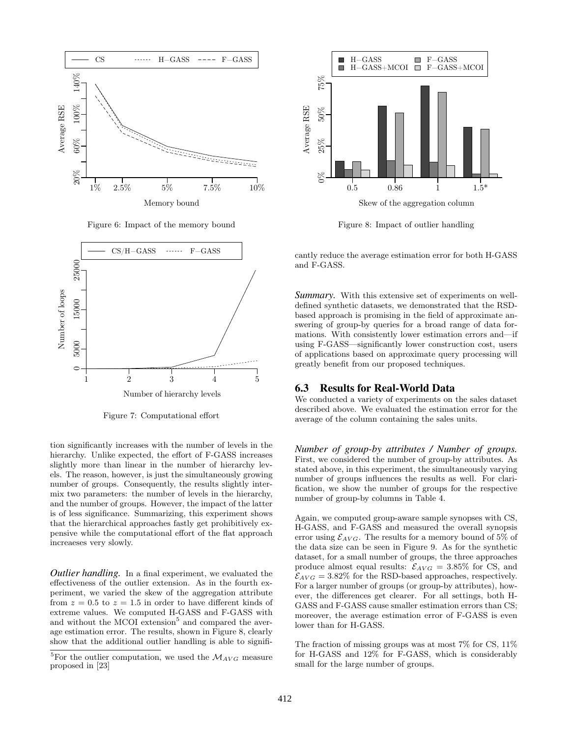

Figure 6: Impact of the memory bound



Figure 7: Computational effort

tion significantly increases with the number of levels in the hierarchy. Unlike expected, the effort of F-GASS increases slightly more than linear in the number of hierarchy levels. The reason, however, is just the simultaneously growing number of groups. Consequently, the results slightly intermix two parameters: the number of levels in the hierarchy, and the number of groups. However, the impact of the latter is of less significance. Summarizing, this experiment shows that the hierarchical approaches fastly get prohibitively expensive while the computational effort of the flat approach increaeses very slowly.

*Outlier handling.* In a final experiment, we evaluated the effectiveness of the outlier extension. As in the fourth experiment, we varied the skew of the aggregation attribute from  $z = 0.5$  to  $z = 1.5$  in order to have different kinds of extreme values. We computed H-GASS and F-GASS with and without the MCOI extension<sup>5</sup> and compared the average estimation error. The results, shown in Figure 8, clearly show that the additional outlier handling is able to signifi-



Figure 8: Impact of outlier handling

cantly reduce the average estimation error for both H-GASS and F-GASS.

*Summary.* With this extensive set of experiments on welldefined synthetic datasets, we demonstrated that the RSDbased approach is promising in the field of approximate answering of group-by queries for a broad range of data formations. With consistently lower estimation errors and—if using F-GASS—significantly lower construction cost, users of applications based on approximate query processing will greatly benefit from our proposed techniques.

# 6.3 Results for Real-World Data

We conducted a variety of experiments on the sales dataset described above. We evaluated the estimation error for the average of the column containing the sales units.

*Number of group-by attributes / Number of groups.* First, we considered the number of group-by attributes. As stated above, in this experiment, the simultaneously varying number of groups influences the results as well. For clarification, we show the number of groups for the respective number of group-by columns in Table 4.

Again, we computed group-aware sample synopses with CS, H-GASS, and F-GASS and measured the overall synopsis error using  $\mathcal{E}_{AVG}$ . The results for a memory bound of 5% of the data size can be seen in Figure 9. As for the synthetic dataset, for a small number of groups, the three approaches produce almost equal results:  $\mathcal{E}_{AVG} = 3.85\%$  for CS, and  $\mathcal{E}_{AVG} = 3.82\%$  for the RSD-based approaches, respectively. For a larger number of groups (or group-by attributes), however, the differences get clearer. For all settings, both H-GASS and F-GASS cause smaller estimation errors than CS; moreover, the average estimation error of F-GASS is even lower than for H-GASS.

The fraction of missing groups was at most 7% for CS, 11% for H-GASS and 12% for F-GASS, which is considerably small for the large number of groups.

<sup>&</sup>lt;sup>5</sup>For the outlier computation, we used the  $\mathcal{M}_{AVG}$  measure proposed in [23]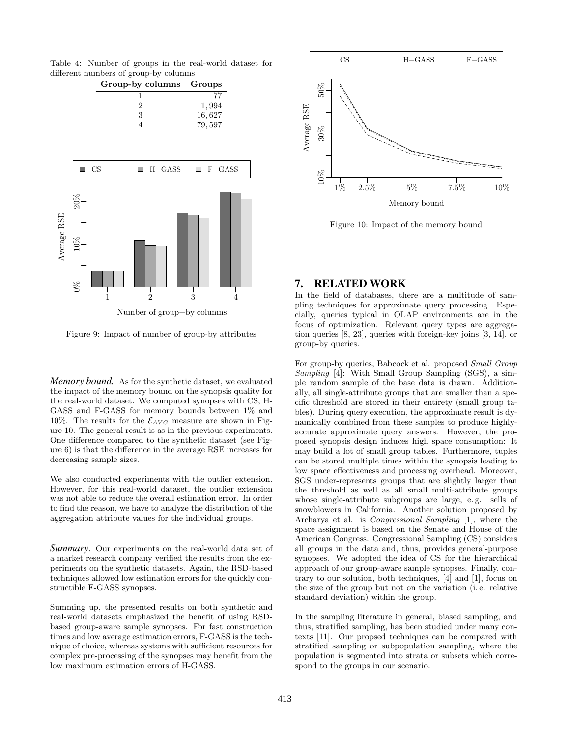Table 4: Number of groups in the real-world dataset for different numbers of group-by columns



Figure 9: Impact of number of group-by attributes

*Memory bound.* As for the synthetic dataset, we evaluated the impact of the memory bound on the synopsis quality for the real-world dataset. We computed synopses with CS, H-GASS and F-GASS for memory bounds between 1% and 10%. The results for the  $\mathcal{E}_{AVG}$  measure are shown in Figure 10. The general result is as in the previous experiments. One difference compared to the synthetic dataset (see Figure 6) is that the difference in the average RSE increases for decreasing sample sizes.

We also conducted experiments with the outlier extension. However, for this real-world dataset, the outlier extension was not able to reduce the overall estimation error. In order to find the reason, we have to analyze the distribution of the aggregation attribute values for the individual groups.

*Summary.* Our experiments on the real-world data set of a market research company verified the results from the experiments on the synthetic datasets. Again, the RSD-based techniques allowed low estimation errors for the quickly constructible F-GASS synopses.

Summing up, the presented results on both synthetic and real-world datasets emphasized the benefit of using RSDbased group-aware sample synopses. For fast construction times and low average estimation errors, F-GASS is the technique of choice, whereas systems with sufficient resources for complex pre-processing of the synopses may benefit from the low maximum estimation errors of H-GASS.



Figure 10: Impact of the memory bound

# 7. RELATED WORK

In the field of databases, there are a multitude of sampling techniques for approximate query processing. Especially, queries typical in OLAP environments are in the focus of optimization. Relevant query types are aggregation queries [8, 23], queries with foreign-key joins [3, 14], or group-by queries.

For group-by queries, Babcock et al. proposed Small Group Sampling [4]: With Small Group Sampling (SGS), a simple random sample of the base data is drawn. Additionally, all single-attribute groups that are smaller than a specific threshold are stored in their entirety (small group tables). During query execution, the approximate result is dynamically combined from these samples to produce highlyaccurate approximate query answers. However, the proposed synopsis design induces high space consumption: It may build a lot of small group tables. Furthermore, tuples can be stored multiple times within the synopsis leading to low space effectiveness and processing overhead. Moreover, SGS under-represents groups that are slightly larger than the threshold as well as all small multi-attribute groups whose single-attribute subgroups are large, e. g. sells of snowblowers in California. Another solution proposed by Archarya et al. is Congressional Sampling [1], where the space assignment is based on the Senate and House of the American Congress. Congressional Sampling (CS) considers all groups in the data and, thus, provides general-purpose synopses. We adopted the idea of CS for the hierarchical approach of our group-aware sample synopses. Finally, contrary to our solution, both techniques, [4] and [1], focus on the size of the group but not on the variation (i. e. relative standard deviation) within the group.

In the sampling literature in general, biased sampling, and thus, stratified sampling, has been studied under many contexts [11]. Our propsed techniques can be compared with stratified sampling or subpopulation sampling, where the population is segmented into strata or subsets which correspond to the groups in our scenario.